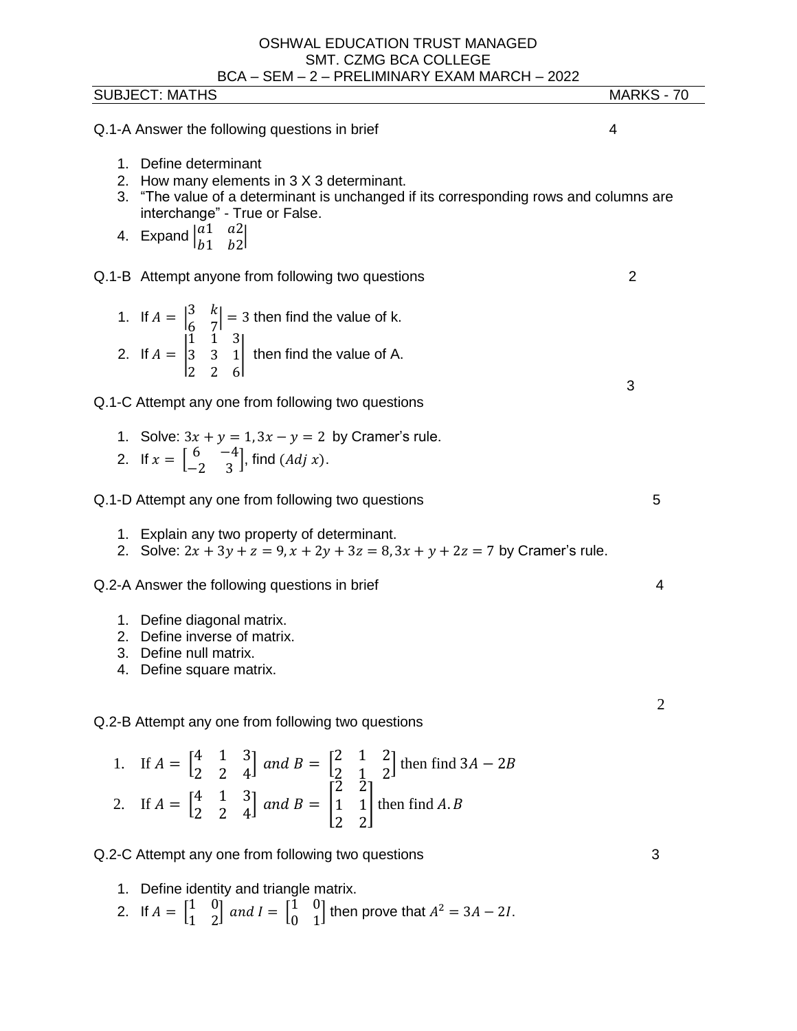| BCA – SEM – 2 – PRELIMINARY EXAM MARCH – 2022<br><b>SUBJECT: MATHS</b>                                                                                                                                                                                                                                   | MARKS - 70 |
|----------------------------------------------------------------------------------------------------------------------------------------------------------------------------------------------------------------------------------------------------------------------------------------------------------|------------|
| Q.1-A Answer the following questions in brief                                                                                                                                                                                                                                                            | 4          |
| Define determinant<br>$1_{-}$<br>2. How many elements in 3 X 3 determinant.<br>3. "The value of a determinant is unchanged if its corresponding rows and columns are<br>interchange" - True or False.<br>4. Expand $\begin{vmatrix} a1 & a2 \\ b1 & b2 \end{vmatrix}$                                    |            |
| Q.1-B Attempt anyone from following two questions                                                                                                                                                                                                                                                        | 2          |
| 1. If $A = \begin{vmatrix} 3 & k \\ 6 & 7 \end{vmatrix} = 3$ then find the value of k.<br>2. If $A = \begin{vmatrix} 1 & 1 & 3 \\ 3 & 3 & 1 \\ 2 & 2 & 6 \end{vmatrix}$ then find the value of A.                                                                                                        | 3          |
| Q.1-C Attempt any one from following two questions                                                                                                                                                                                                                                                       |            |
| 1. Solve: $3x + y = 1$ , $3x - y = 2$ by Cramer's rule.<br>2. If $x = \begin{bmatrix} 6 & -4 \\ -2 & 3 \end{bmatrix}$ , find $(Adj x)$ .                                                                                                                                                                 |            |
| Q.1-D Attempt any one from following two questions                                                                                                                                                                                                                                                       | 5          |
| 1.<br>Explain any two property of determinant.<br>2. Solve: $2x + 3y + z = 9$ , $x + 2y + 3z = 8$ , $3x + y + 2z = 7$ by Cramer's rule.                                                                                                                                                                  |            |
| Q.2-A Answer the following questions in brief                                                                                                                                                                                                                                                            | 4          |
| 1. Define diagonal matrix.<br>Define inverse of matrix.<br>2.<br>3.<br>Define null matrix.<br>Define square matrix.<br>4.                                                                                                                                                                                |            |
| Q.2-B Attempt any one from following two questions                                                                                                                                                                                                                                                       | 2          |
| 1. If $A = \begin{bmatrix} 4 & 1 & 3 \\ 2 & 2 & 4 \end{bmatrix}$ and $B = \begin{bmatrix} 2 & 1 & 2 \\ 2 & 1 & 2 \end{bmatrix}$ then find $3A - 2B$<br>2. If $A = \begin{bmatrix} 4 & 1 & 3 \\ 2 & 2 & 4 \end{bmatrix}$ and $B = \begin{bmatrix} 2 & 2 \\ 1 & 1 \\ 2 & 2 \end{bmatrix}$ then find $A. B$ |            |
|                                                                                                                                                                                                                                                                                                          |            |
| Q.2-C Attempt any one from following two questions                                                                                                                                                                                                                                                       | 3          |
| 1.<br>Define identity and triangle matrix.<br>2. If $A = \begin{bmatrix} 1 & 0 \\ 1 & 2 \end{bmatrix}$ and $I = \begin{bmatrix} 1 & 0 \\ 0 & 1 \end{bmatrix}$ then prove that $A^2 = 3A - 2I$ .                                                                                                          |            |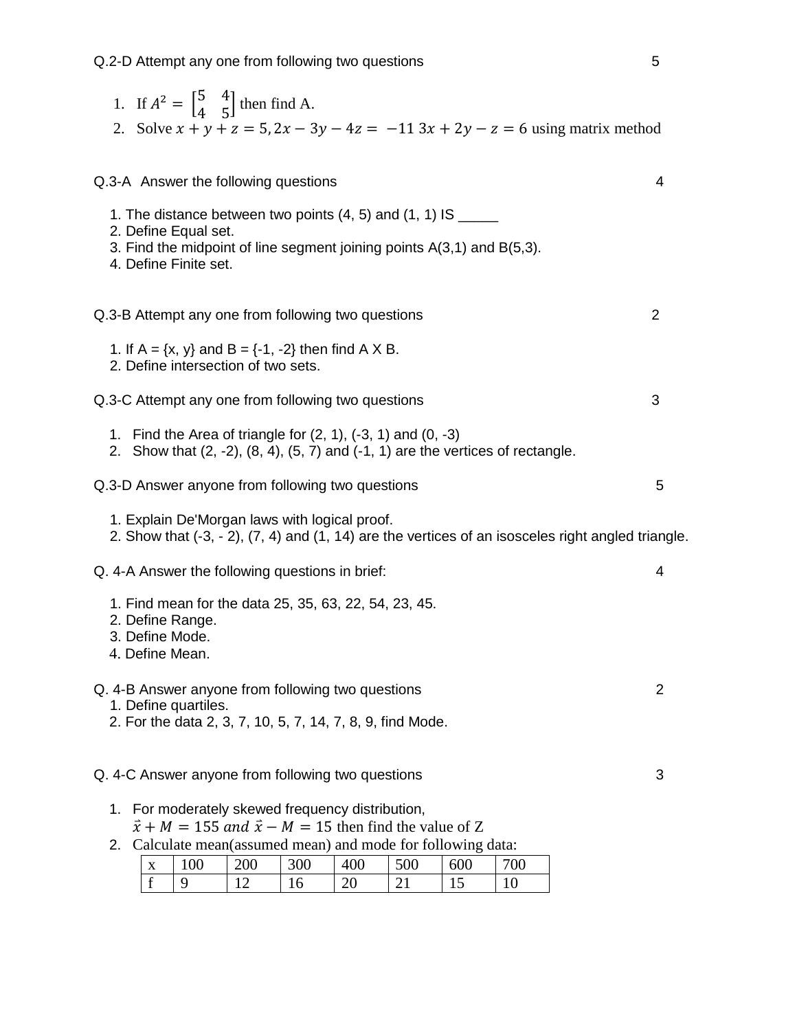|                                    |                                               | 1. If $A^2 = \begin{bmatrix} 5 & 4 \\ 4 & 5 \end{bmatrix}$ then find A. |     |                                                                                                                         |     |     |                                                                                           | 2. Solve $x + y + z = 5$ , $2x - 3y - 4z = -113x + 2y - z = 6$ using matrix method                 |   |
|------------------------------------|-----------------------------------------------|-------------------------------------------------------------------------|-----|-------------------------------------------------------------------------------------------------------------------------|-----|-----|-------------------------------------------------------------------------------------------|----------------------------------------------------------------------------------------------------|---|
|                                    |                                               |                                                                         |     |                                                                                                                         |     |     |                                                                                           |                                                                                                    |   |
|                                    |                                               | Q.3-A Answer the following questions                                    |     |                                                                                                                         |     |     |                                                                                           |                                                                                                    | 4 |
|                                    |                                               |                                                                         |     | 1. The distance between two points $(4, 5)$ and $(1, 1)$ IS ______                                                      |     |     |                                                                                           |                                                                                                    |   |
|                                    | 2. Define Equal set.<br>4. Define Finite set. |                                                                         |     | 3. Find the midpoint of line segment joining points A(3,1) and B(5,3).                                                  |     |     |                                                                                           |                                                                                                    |   |
|                                    |                                               |                                                                         |     | Q.3-B Attempt any one from following two questions                                                                      |     |     |                                                                                           |                                                                                                    | 2 |
|                                    |                                               | 2. Define intersection of two sets.                                     |     | 1. If $A = \{x, y\}$ and $B = \{-1, -2\}$ then find A X B.                                                              |     |     |                                                                                           |                                                                                                    |   |
|                                    |                                               |                                                                         |     | Q.3-C Attempt any one from following two questions                                                                      |     |     |                                                                                           |                                                                                                    | 3 |
|                                    |                                               |                                                                         |     | 1. Find the Area of triangle for $(2, 1)$ , $(-3, 1)$ and $(0, -3)$                                                     |     |     | 2. Show that $(2, -2)$ , $(8, 4)$ , $(5, 7)$ and $(-1, 1)$ are the vertices of rectangle. |                                                                                                    |   |
|                                    |                                               |                                                                         |     | Q.3-D Answer anyone from following two questions                                                                        |     |     |                                                                                           |                                                                                                    | 5 |
|                                    |                                               |                                                                         |     | 1. Explain De'Morgan laws with logical proof.                                                                           |     |     |                                                                                           | 2. Show that (-3, - 2), (7, 4) and (1, 14) are the vertices of an isosceles right angled triangle. |   |
|                                    |                                               | Q. 4-A Answer the following questions in brief:                         |     |                                                                                                                         |     |     |                                                                                           |                                                                                                    | 4 |
| 3. Define Mode.<br>4. Define Mean. | 2. Define Range.                              |                                                                         |     | 1. Find mean for the data 25, 35, 63, 22, 54, 23, 45.                                                                   |     |     |                                                                                           |                                                                                                    |   |
|                                    | 1. Define quartiles.                          |                                                                         |     | Q. 4-B Answer anyone from following two questions<br>2. For the data 2, 3, 7, 10, 5, 7, 14, 7, 8, 9, find Mode.         |     |     |                                                                                           |                                                                                                    | 2 |
|                                    |                                               |                                                                         |     | Q. 4-C Answer anyone from following two questions                                                                       |     |     |                                                                                           |                                                                                                    | 3 |
|                                    |                                               |                                                                         |     | 1. For moderately skewed frequency distribution,<br>$\vec{x} + M = 155$ and $\vec{x} - M = 15$ then find the value of Z |     |     |                                                                                           |                                                                                                    |   |
|                                    |                                               |                                                                         |     | 2. Calculate mean(assumed mean) and mode for following data:                                                            |     |     |                                                                                           |                                                                                                    |   |
| $\mathbf X$                        | 100                                           | 200                                                                     | 300 | 400                                                                                                                     | 500 | 600 | 700                                                                                       |                                                                                                    |   |
| f                                  | 9                                             | 12                                                                      | 16  | 20                                                                                                                      | 21  | 15  | 10                                                                                        |                                                                                                    |   |